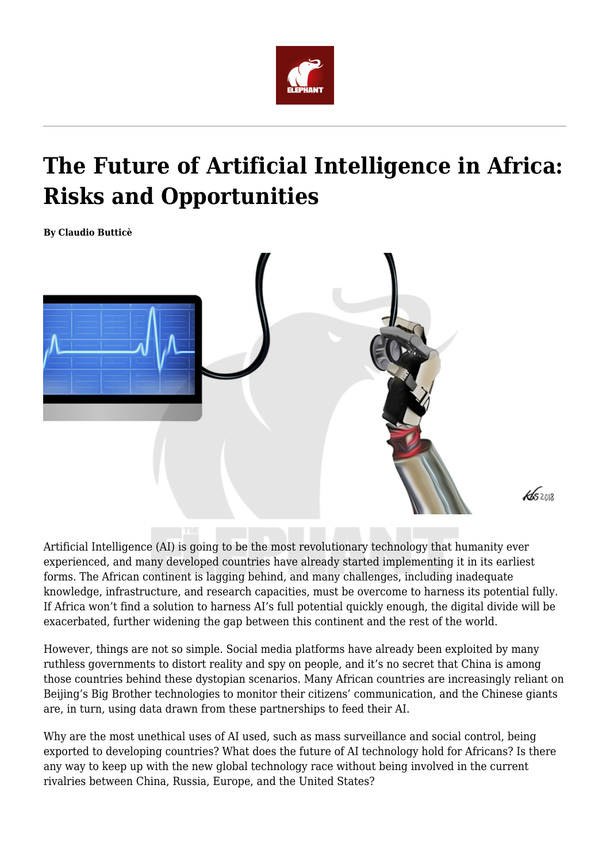

## **The Future of Artificial Intelligence in Africa: Risks and Opportunities**

**By Claudio Butticè**



Artificial Intelligence (AI) is going to be the most revolutionary technology that humanity ever experienced, and many developed countries have already started implementing it in its earliest forms. The African continent is lagging behind, and many challenges, including inadequate knowledge, infrastructure, and research capacities, must be overcome to harness its potential fully. If Africa won't find a solution to harness AI's full potential quickly enough, the digital divide will be exacerbated, further widening the gap between this continent and the rest of the world.

However, things are not so simple. Social media platforms have already been exploited by many ruthless governments to distort reality and spy on people, and it's no secret that China is among those countries behind these dystopian scenarios. Many African countries are increasingly reliant on Beijing's Big Brother technologies to monitor their citizens' communication, and the Chinese giants are, in turn, using data drawn from these partnerships to feed their AI.

Why are the most unethical uses of AI used, such as mass surveillance and social control, being exported to developing countries? What does the future of AI technology hold for Africans? Is there any way to keep up with the new global technology race without being involved in the current rivalries between China, Russia, Europe, and the United States?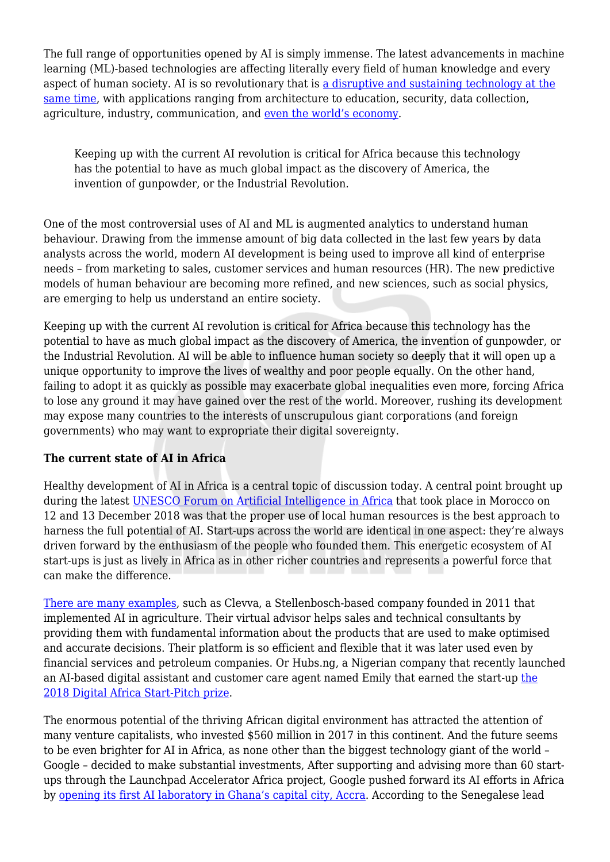The full range of opportunities opened by AI is simply immense. The latest advancements in machine learning (ML)-based technologies are affecting literally every field of human knowledge and every aspect of human society. AI is so revolutionary that is [a disruptive and sustaining technology at the](https://whatis.techtarget.com/definition/disruptive-technology) [same time](https://whatis.techtarget.com/definition/disruptive-technology), with applications ranging from architecture to education, security, data collection, agriculture, industry, communication, and [even the world's economy.](https://www.techopedia.com/is-the-ai-revolution-going-to-make-universal-income-a-necessity/2/33398)

Keeping up with the current AI revolution is critical for Africa because this technology has the potential to have as much global impact as the discovery of America, the invention of gunpowder, or the Industrial Revolution.

One of the most controversial uses of AI and ML is augmented analytics to understand human behaviour. Drawing from the immense amount of big data collected in the last few years by data analysts across the world, modern AI development is being used to improve all kind of enterprise needs – from marketing to sales, customer services and human resources (HR). The new predictive models of human behaviour are becoming more refined, and new sciences, such as social physics, are emerging to help us understand an entire society.

Keeping up with the current AI revolution is critical for Africa because this technology has the potential to have as much global impact as the discovery of America, the invention of gunpowder, or the Industrial Revolution. AI will be able to influence human society so deeply that it will open up a unique opportunity to improve the lives of wealthy and poor people equally. On the other hand, failing to adopt it as quickly as possible may exacerbate global inequalities even more, forcing Africa to lose any ground it may have gained over the rest of the world. Moreover, rushing its development may expose many countries to the interests of unscrupulous giant corporations (and foreign governments) who may want to expropriate their digital sovereignty.

## **The current state of AI in Africa**

Healthy development of AI in Africa is a central topic of discussion today. A central point brought up during the latest [UNESCO Forum on Artificial Intelligence in Africa](https://en.unesco.org/news/future-artificial-intelligence-africa-joint-responsibility) that took place in Morocco on 12 and 13 December 2018 was that the proper use of local human resources is the best approach to harness the full potential of AI. Start-ups across the world are identical in one aspect: they're always driven forward by the enthusiasm of the people who founded them. This energetic ecosystem of AI start-ups is just as lively in Africa as in other richer countries and represents a powerful force that can make the difference.

[There are many examples](https://moguldom.com/162959/does-artificial-intelligence-have-a-big-future-in-africa/), such as Clevva, a Stellenbosch-based company founded in 2011 that implemented AI in agriculture. Their virtual advisor helps sales and technical consultants by providing them with fundamental information about the products that are used to make optimised and accurate decisions. Their platform is so efficient and flexible that it was later used even by financial services and petroleum companies. Or Hubs.ng, a Nigerian company that recently launched an AI-based digital assistant and customer care agent named Emily that earned the start-up [the](https://technext.ng/2018/06/13/nigerias-hubs-ng-ghanaian-farmcap-win-big-digital-africa-conference/) [2018 Digital Africa Start-Pitch prize.](https://technext.ng/2018/06/13/nigerias-hubs-ng-ghanaian-farmcap-win-big-digital-africa-conference/)

The enormous potential of the thriving African digital environment has attracted the attention of many venture capitalists, who invested \$560 million in 2017 in this continent. And the future seems to be even brighter for AI in Africa, as none other than the biggest technology giant of the world – Google – decided to make substantial investments, After supporting and advising more than 60 startups through the Launchpad Accelerator Africa project, Google pushed forward its AI efforts in Africa by [opening its first AI laboratory in Ghana's capital city, Accra.](https://edition.cnn.com/2019/04/14/africa/google-ai-center-accra-intl/index.html) According to the Senegalese lead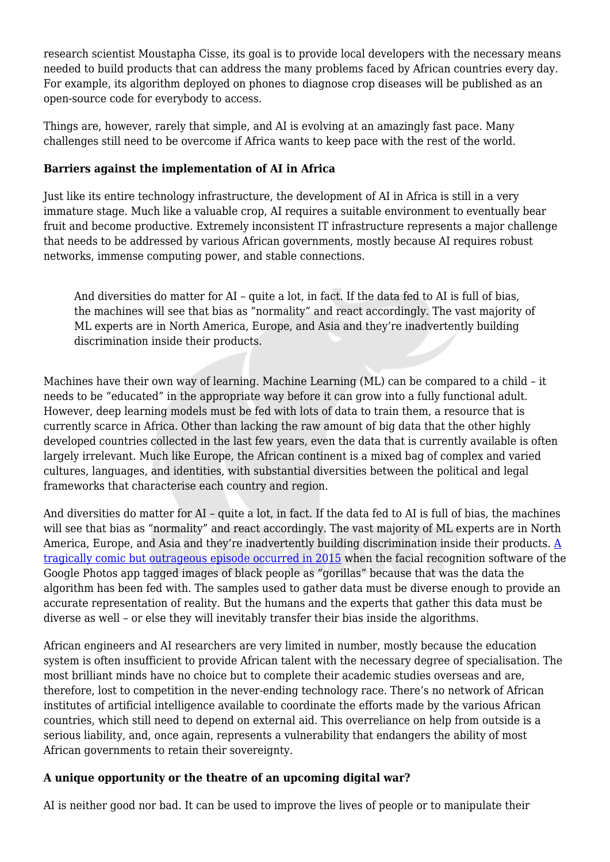research scientist Moustapha Cisse, its goal is to provide local developers with the necessary means needed to build products that can address the many problems faced by African countries every day. For example, its algorithm deployed on phones to diagnose crop diseases will be published as an open-source code for everybody to access.

Things are, however, rarely that simple, and AI is evolving at an amazingly fast pace. Many challenges still need to be overcome if Africa wants to keep pace with the rest of the world.

## **Barriers against the implementation of AI in Africa**

Just like its entire technology infrastructure, the development of AI in Africa is still in a very immature stage. Much like a valuable crop, AI requires a suitable environment to eventually bear fruit and become productive. Extremely inconsistent IT infrastructure represents a major challenge that needs to be addressed by various African governments, mostly because AI requires robust networks, immense computing power, and stable connections.

And diversities do matter for AI – quite a lot, in fact. If the data fed to AI is full of bias, the machines will see that bias as "normality" and react accordingly. The vast majority of ML experts are in North America, Europe, and Asia and they're inadvertently building discrimination inside their products.

Machines have their own way of learning. Machine Learning (ML) can be compared to a child – it needs to be "educated" in the appropriate way before it can grow into a fully functional adult. However, deep learning models must be fed with lots of data to train them, a resource that is currently scarce in Africa. Other than lacking the raw amount of big data that the other highly developed countries collected in the last few years, even the data that is currently available is often largely irrelevant. Much like Europe, the African continent is a mixed bag of complex and varied cultures, languages, and identities, with substantial diversities between the political and legal frameworks that characterise each country and region.

And diversities do matter for AI – quite a lot, in fact. If the data fed to AI is full of bias, the machines will see that bias as "normality" and react accordingly. The vast majority of ML experts are in North America, Europe, and Asia and they're inadvertently building discrimination inside their products. [A](https://edition.cnn.com/2015/07/02/tech/google-image-recognition-gorillas-tag/index.html) [tragically comic but outrageous episode occurred in 2015](https://edition.cnn.com/2015/07/02/tech/google-image-recognition-gorillas-tag/index.html) when the facial recognition software of the Google Photos app tagged images of black people as "gorillas" because that was the data the algorithm has been fed with. The samples used to gather data must be diverse enough to provide an accurate representation of reality. But the humans and the experts that gather this data must be diverse as well – or else they will inevitably transfer their bias inside the algorithms.

African engineers and AI researchers are very limited in number, mostly because the education system is often insufficient to provide African talent with the necessary degree of specialisation. The most brilliant minds have no choice but to complete their academic studies overseas and are, therefore, lost to competition in the never-ending technology race. There's no network of African institutes of artificial intelligence available to coordinate the efforts made by the various African countries, which still need to depend on external aid. This overreliance on help from outside is a serious liability, and, once again, represents a vulnerability that endangers the ability of most African governments to retain their sovereignty.

## **A unique opportunity or the theatre of an upcoming digital war?**

AI is neither good nor bad. It can be used to improve the lives of people or to manipulate their